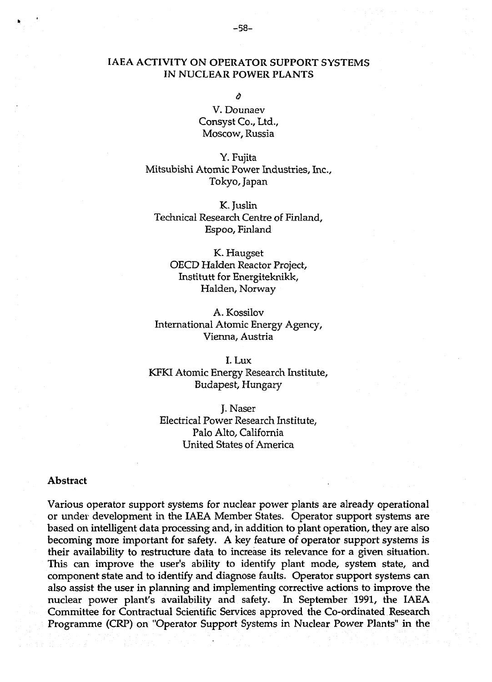## **IAEA ACTIVITY ON OPERATOR SUPPORT SYSTEMS IN NUCLEAR POWER PLANTS**

*Ù* 

**V. Dounaev Consyst Co., Ltd., Moscow, Russia** 

**Y. Fujita Mitsubishi Atomic Power Industries, Inc., Tokyo, Japan** 

**K. Juslin Technical Research Centre of Finland, Espoo, Finland** 

**K. Haugset OECD Halden Reactor Project, Institutt for Energiteknikk, Halden, Norway** 

**A. Kossilov International Atomic Energy Agency, Vienna, Austria** 

**I. Lux KFKI Atomic Energy Research Institute, Budapest, Hungary** 

**J. Naser Electrical Power Research Institute, Palo Alto, California United States of America** 

#### **Abstract**

**Various operator support systems for nuclear power plants are already operational or under development in the IAEA Member States. Operator support systems are based on intelligent data processing and, in addition to plant operation, they are also becoming more important for safety. A key feature of operator support systems is their availability to restructure data to increase its relevance for a given situation. This can improve the user's ability to identify plant mode, system state, and component state and to identify and diagnose faults. Operator support systems can also assist the user in planning and implementing corrective actions to improve the nuclear power plant's availability and safety. In September 1991, the IAEA Committee for Contractual Scientific Services approved the Co-ordinated Research Programme (CRP) on "Operator Support Systems in Nuclear Power Plants" in the**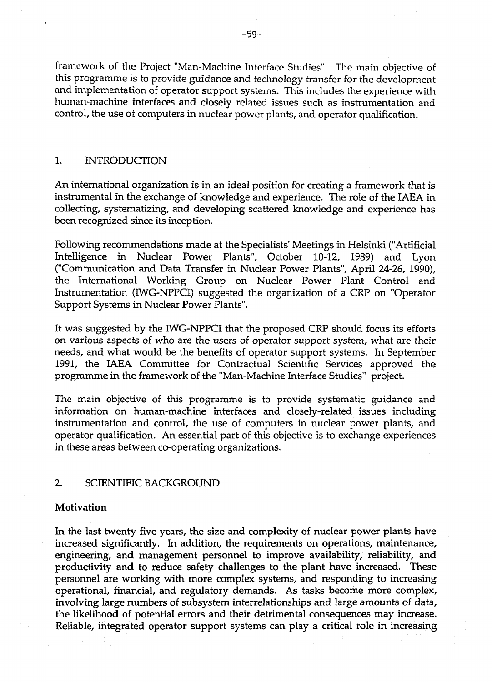**framework of the Project "Man-Machine Interface Studies". The main objective of tliis programme is to provide guidance and technology transfer for the development and implementation of operator support systems. This includes the experience with human-machine interfaces and closely related issues such as instrumentation and control, the use of computers in nuclear power plants, and operator qualification.** 

#### **1. INTRODUCTION**

**An international organization is in an ideal position for creating a framework that is instrumental in the exchange of knowledge and experience. The role of the IAEA in collecting, systematizing, and developing scattered knowledge and experience has been recognized since its inception.** 

**Following recommendations made at the Specialists' Meetings in Helsinki ("Artificial Intelligence in Nuclear Power Plants", October 10-12, 1989) and Lyon ("Communication and Data Transfer in Nuclear Power Plants", April 24-26, 1990), the International Working Group on Nuclear Power Plant Control and Instrumentation (IWG-NPPCI) suggested the organization of a CRP on "Operator Support Systems in Nuclear Power Plants".** 

**It was suggested by the IWG-NPPCI that the proposed CRP should focus its efforts on various aspects of who are the users of operator support system, what are their needs, and what would be the benefits of operator support systems. In September 1991, the IAEA Committee for Contractual Scientific Services approved the programme in the framework of the "Man-Machine Interface Studies" project.** 

**The main objective of this programme is to provide systematic guidance and information on human-machine interfaces and closely-related issues including instrumentation and control, the use of computers in nuclear power plants, and operator qualification. An essential part of this objective is to exchange experiences in these areas between co-operating organizations.** 

### **2. SCIENTIFIC BACKGROUND**

#### **Motivation**

**In the last twenty five years, the size and complexity of nuclear power plants have increased significantly. In addition, the requirements on operations, maintenance, engineering, and management personnel to improve availability, reliability, and productivity and to reduce safety challenges to the plant have increased. These personnel are working with more complex systems, and responding to increasing operational, financial, and regulatory demands. As tasks become more complex, involving large numbers of subsystem interrelationships and large amounts of data, the likelihood of potential errors and their detrimental consequences may increase. Reliable, integrated operator support systems can play a critical role in increasing**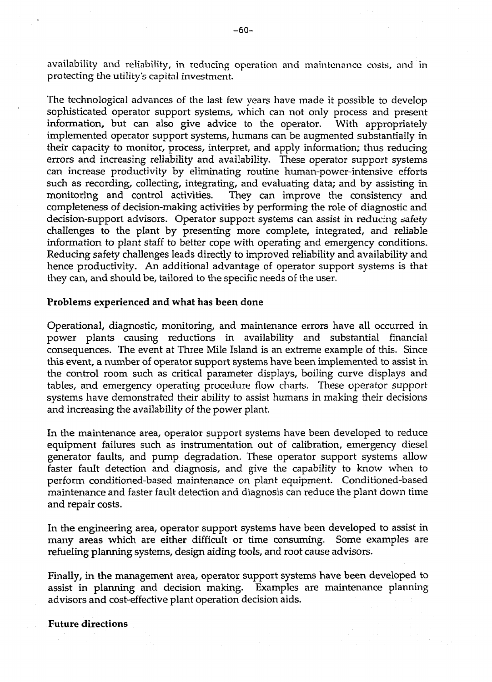**availability and reliability, in reducing operation and maintenance costs, and in protecting the utility's capital investment.** 

**The technological advances of the last few years have made it possible to develop sophisticated operator support systems, which can not only process and present information, but can also give advice to the operator. With appropriately implemented operator support systems, humans can be augmented substantially in their capacity to monitor, process, interpret, and apply information; thus reducing errors and increasing reliability and availability. These operator support systems can increase productivity by eliminating routine human-power-intensive efforts such as recording, collecting, integrating, and evaluating data; and by assisting in monitoring and control activities. They can improve the consistency and completeness of decision-making activities by performing the role of diagnostic and decision-support advisors. Operator support systems can assist in reducing safety challenges to the plant by presenting more complete, integrated, and reliable information to plant staff to better cope with operating and emergency conditions. Reducing safety challenges leads directly to improved reliability and availability and hence productivity. An additional advantage of operator support systems is that they can, and should be, tailored to the specific needs of the user.** 

#### **Problems experienced and what has been done**

**Operational, diagnostic, monitoring, and maintenance errors have all occurred in power plants causing reductions in availability and substantial financial consequences. The event at Three Mile Island is an extreme example of this. Since this event, a number of operator support systems have been implemented to assist in the control room such as critical parameter displays, boiling curve displays and tables, and emergency operating procedure flow charts. These operator support systems have demonstrated their ability to assist humans in making their decisions and increasing the availability of the power plant.** 

**In the maintenance area, operator support systems have been developed to reduce equipment failures such as instrumentation out of calibration, emergency diesel generator faults, and pump degradation. These operator support systems allow faster fault detection and diagnosis, and give the capability to know when to perform conditioned-based maintenance on plant equipment. Conditioned-based maintenance and faster fault detection and diagnosis can reduce the plant down time and repair costs.** 

**In the engineering area, operator support systems have been developed to assist in many areas which are either difficult or time consuming. Some examples are refueling planning systems, design aiding tools, and root cause advisors.** 

**Finally, in the management area, operator support systems have been developed to assist in planning and decision making. Examples are maintenance planning advisors and cost-effective plant operation decision aids.** 

**Future directions**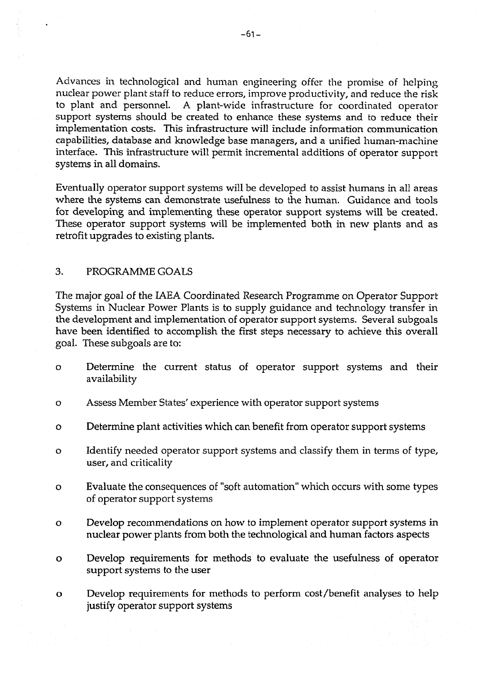**Advances in technological and human engineering offer the promise of helping nuclear power plant staff to reduce errors, improve productivity, and reduce the risk to plant and personnel. A plant-wide infrastructure for coordinated operator support systems should be created to enhance these systems and to reduce their implementation costs. This infrastructure will include information communication capabilities, database and knowledge base managers, and a unified human-machine interface. This infrastructure will permit incremental additions of operator support systems in all domains.** 

**Eventually operator support systems will be developed to assist humans in all areas where the systems can demonstrate usefulness to the human. Guidance and tools for developing and implementing these operator support systems will be created. These operator support systems will be implemented both in new plants and as retrofit upgrades to existing plants.** 

### **3. PROGRAMME GOALS**

**The major goal of the IAEA Coordinated Research Programme on Operator Support Systems in Nuclear Power Plants is to supply guidance and technology transfer in the development and implementation of operator support systems. Several subgoals have been identified to accomplish the first steps necessary to achieve this overall goal. These subgoals are to:** 

- **o Determine the current status of operator support systems and their availability**
- **o Assess Member States' experience with operator support systems**
- **o Determine plant activities which can benefit from operator support systems**
- **o Identify needed operator support systems and classify them in terms of type, user, and criticality**
- **o Evaluate the consequences of "soft automation" which occurs with some types of operator support systems**
- **o Develop recommendations on how to implement operator support systems in nuclear power plants from both the technological and human factors aspects**
- **o Develop requirements for methods to evaluate the usefulness of operator support systems to the user**
- **o Develop requirements for methods to perform cost/benefit analyses to help justify operator support systems**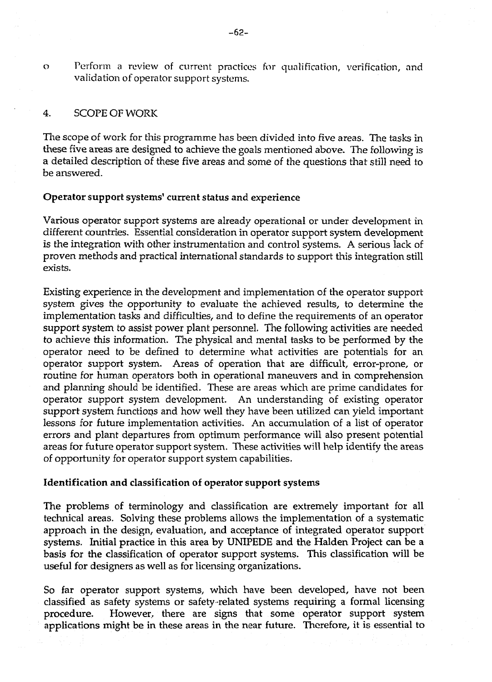**o Perform a review of current practices for qualification, verification, and validation of operator support systems.** 

### **4. SCOPE OF WORK**

**The scope of work for this programme has been divided into five areas. The tasks in these five areas are designed to achieve the goals mentioned above. The following is a detailed description of these five areas and some of the questions that still need to be answered.** 

## **Operator support systems' current status and experience**

**Various operator support systems are already operational or under development in different countries. Essential consideration in operator support system development is the integration with other instrumentation and control systems. A serious lack of proven methods and practical international standards to support this integration still exists.** 

**Existing experience in the development and implementation of the operator support system gives the opportunity to evaluate the achieved results, to determine the implementation tasks and difficulties, and to define the requirements of an operator support system to assist power plant personnel. The following activities are needed to achieve this information. The physical and mental tasks to be performed by the operator need to be defined to determine what activities are potentials for an operator support system. Areas of operation that are difficult, error-prone, or routine for human operators both in operational maneuvers and in comprehension and planning should be identified. These are areas which are prime candidates for operator support system development. An understanding of existing operator support system functions and how well they have been utilized can yield important lessons for future implementation activities. An accumulation of a list of operator errors and plant departures from optimum performance will also present potential areas for future operator support system. These activities will help identify the areas of opportunity for operator support system capabilities.** 

#### **Identification and classification of operator support systems**

**The problems of terminology and classification are extremely important for all technical areas. Solving these problems allows the implementation of a systematic approach in the design, evaluation, and acceptance of integrated operator support systems. Initial practice in this area by UNIPEDE and the Halden Project can be a basis for the classification of operator support systems. This classification will be useful for designers as well as for licensing organizations.** 

**So far operator support systems, which have been developed, have not been classified as safety systems or safety-related systems requiring a formal licensing procedure. However, there are signs that some operator support system applications might be in these areas in the near future. Therefore, it is essential to**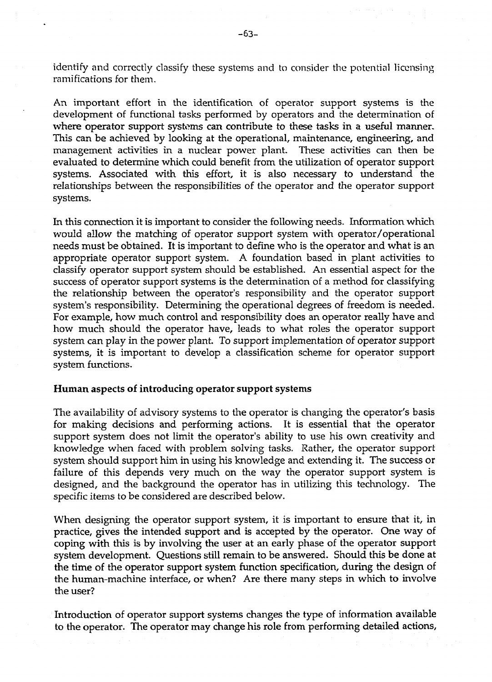**identify and correctly classify these systems and to consider the potential licensing ramifications for them.** 

**An important effort in the identification of operator support systems is the development of functional tasks performed by operators and the determination of where operator support systems can contribute to these tasks in a useful manner. This can be achieved by looking at the operational, maintenance, engineering, and management activities in a nuclear power plant. These activities can then be evaluated to determine which could benefit from the utilization of operator support systems. Associated with this effort, it is also necessary to understand the relationships between the responsibilities of the operator and the operator support systems.** 

**In this connection it is important to consider the following needs. Information which would allow the matching of operator support system with operator/operational needs must be obtained. It is important to define who is the operator and what is an appropriate operator support system. A foundation based in plant activities to classify operator support system should be established. An essential aspect for the success of operator support systems is the determination of a method for classifying the relationship between the operator's responsibility and the operator support system's responsibility. Determining the operational degrees of freedom is needed. For example, how much control and responsibility does an operator really have and how much should the operator have, leads to what roles the operator support system can play in the power plant. To support implementation of operator support systems, it is important to develop a classification scheme for operator support system functions.** 

#### **Human aspects of introducing operator support systems**

**The availability of advisory systems to the operator is changing the operator's basis for making decisions and performing actions. It is essential that the operator support system does not limit the operator's ability to use his own creativity and knowledge when faced with problem solving tasks. Rather, the operator support system should support him in using his knowledge and extending it. The success or failure of this depends very much on the way the operator support system is designed, and the background the operator has in utilizing this technology. The specific items to be considered are described below.** 

**When designing the operator support system, it is important to ensure that it, in practice, gives the intended support and is accepted by the operator. One way of coping with this is by involving the user at an early phase of the operator support system development. Questions still remain to be answered. Should this be done at the time of the operator support system function specification, during the design of the human-machine interface, or when? Are there many steps in which to involve the user?** 

**Introduction of operator support systems changes the type of information available to the operator. The operator may change his role from performing detailed actions,**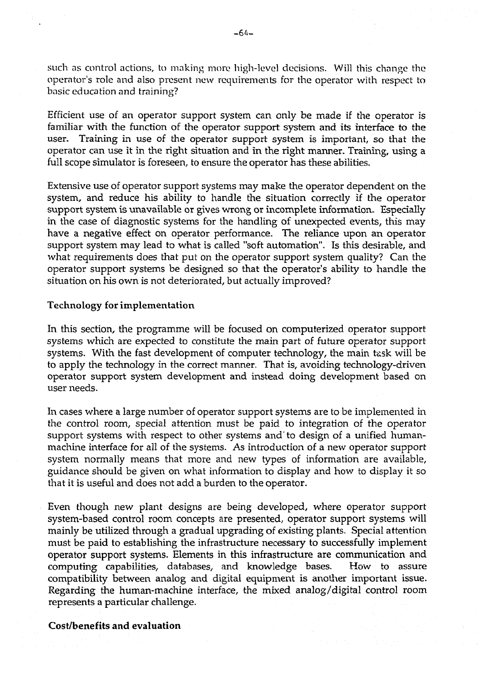such as control actions, to making more high-level decisions. Will this change the **operator's role and also present new requirements for the operator with respect to basic education and training?** 

**Efficient use of an operator support system can only be made if the operator is familiar with the function of the operator support system and its interface to the user. Training in use of the operator support system is important, so that the operator can use it in the right situation and in the right manner. Training, using a full scope simulator is foreseen, to ensure the operator has these abilities.** 

**Extensive use of operator support systems may make the operator dependent on the system, and reduce his ability to handle the situation correctly if the operator support system is unavailable or gives wrong or incomplete information- Especially in the case of diagnostic systems for the handling of unexpected events, this may have a negative effect on operator performance. The reliance upon an operator support system may lead to what is called "soft automation". Is this desirable, and what requirements does that put on the operator support system quality? Can the operator support systems be designed so that the operator's ability to handle the situation on his own is not deteriorated, but actually improved?** 

#### **Technology for implementation**

**In this section, the programme will be focused on computerized operator support systems which are expected to constitute the main part of future operator support systems. With the fast development of computer technology, the main task will be to apply the technology in the correct manner. That is, avoiding technology-driven operator support system development and instead doing development based on user needs.** 

**In cases where a large number of operator support systems are to be implemented in the control room, special attention must be paid to integration of the operator support systems with respect to other systems and'to design of a unified humanmachine interface for all of the systems. As introduction of a new operator support system normally means that more and new types of information are available, guidance should be given on what information to display and how to display it so that it is useful and does not add a burden to the operator.** 

**Even though new plant designs are being developed, where operator support system-based control room concepts are presented, operator support systems will mainly be utilized through a gradual upgrading of existing plants. Special attention must be paid to establishing the infrastructure necessary to successfully implement operator support systems. Elements in this infrastructure are communication and computing capabilities, databases, and knowledge bases. How to assure compatibility between analog and digital equipment is another important issue. Regarding the human-machine interface, the mixed analog/digital control room represents a particular challenge.** 

**Cost/benefits and evaluation**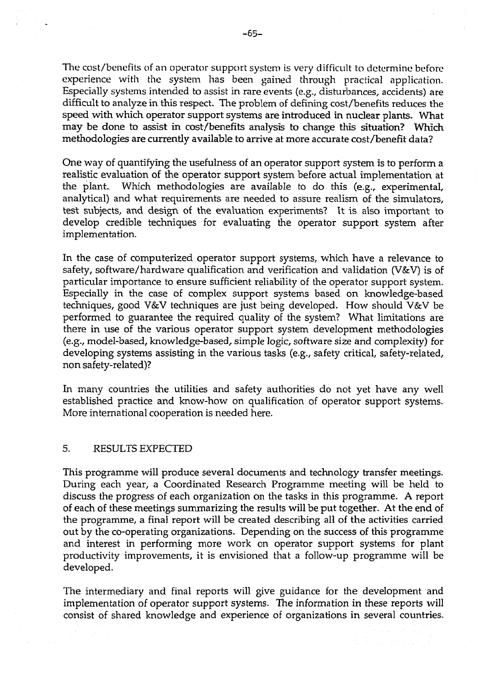**The cost/benefits of an operator support system is very difficult to determine before experience with the system has been gained through practical application. Especially systems intended to assist in rare events (e.g., disturbances, accidents) are difficult to analyze in this respect. The problem of defining cost/benefits reduces the speed with which operator support systems are introduced in nuclear plants. What may be done to assist in cost/benefits analysis to change this situation? Which methodologies are currently available to arrive at more accurate cost/benefit data?** 

**One way of quantifying the usefulness of an operator support system is to perform a realistic evaluation of the operator support system before actual implementation at the plant- Which methodologies are available to do this (e.g., experimental, analytical) and what requirements are needed to assure realism of the simulators, test stibjects, and design of the evaluation experiments? It is also important to develop credible techniques for evaluating the operator support system after implementation.** 

**In the case of computerized operator support systems, which have a relevance to safety, software/hardware qualification and verification and validation (V&V) is of particular importance to ensure sufficient reliability of the operator support system. Especially in the case of complex support systems based on knowledge-based techniques, good V&V techniques are just being developed. How should V&V be performed to guarantee the required quality of the system? What limitations are there in use of the various operator support system development methodologies (e.g., model-based, knowledge-based, simple logic, software size and complexity) for developing systems assisting in the various tasks (e.g., safety critical, safety-related, non safety-related)?** 

**In many countries the utilities and safety authorities do not yet have any well established practice and know-how on qualification of operator support systems. More international cooperation is needed here.** 

#### **5. RESULTS EXPECTED**

**This programme will produce several documents and technology transfer meetings. During each year, a Coordinated Research Programme meeting will be held to discuss the progress of each organization on the tasks in this programme. A report of each of these meetings summarizing the results will be put together. At the end of the programme, a final report will be created describing all of the activities carried out by the co-operating organizations. Depending on the success of this programme and interest in performing more work on operator support systems for plant productivity improvements, it is envisioned that a follow-up programme will be developed.** 

**The intermediary and final reports will give guidance for the development and implementation of operator support systems. The information in these reports will consist of shared knowledge and experience of organizations in several countries.**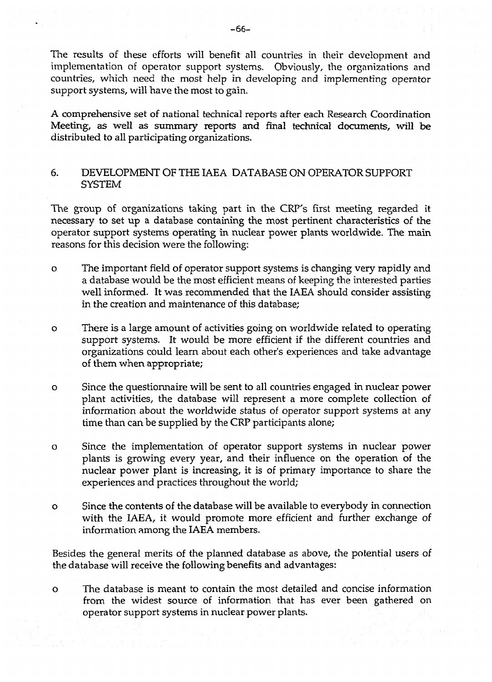**The results of these efforts will benefit nil countries in their development and implementation of operator support systems. Obviously, the organizations and countries, which need the most help in developing and implementing operator support systems, will have the most to gain.** 

**A comprehensive set of national technical reports after each Research Coordination Meeting, as well as summary reports and final technical documents, will be distributed to all participating organizations.** 

# **6. DEVELOPMENT OF THE IAEA DATABASE ON OPERATOR SUPPORT SYSTEM**

**The group of organizations taking part in the CRT's first meeting regarded it necessary to set up a database containing the most pertinent characteristics of the operator support systems operating in nuclear power plants worldwide. The main reasons for this decision were the following:** 

- **o The important field of operator support systems is changing very rapidly and a database would be the most efficient means of keeping the interested parties well informed. It was recommended that the IAEA should consider assisting in the creation and maintenance of this database;**
- **o There is a large amount of activities going on worldwide related to operating support systems. It would be more efficient if the different countries and organizations could learn about each other's experiences and take advantage of them when appropriate;**
- **o Since the questionnaire will be sent to all countries engaged in nuclear power plant activities, the database will represent a more complete collection of information about the worldwide status of operator support systems at any time than can be supplied by the CRP participants alone;**
- **o Since the implementation of operator support systems in nuclear power plants is growing every year, and their influence on the operation of the nuclear power plant is increasing, it is of primary importance to share the experiences and practices throughout the world;**
- **o Since the contents of the database will be available to everybody in connection with the IAEA, it would promote more efficient and further exchange of information among the IAEA members.**

**Besides the general merits of the planned database as above, the potential users of the database will receive the following benefits and advantages:** 

**o The database is meant to contain the most detailed and concise information from the widest source of information that has ever been gathered on operator support systems in nuclear power plants.**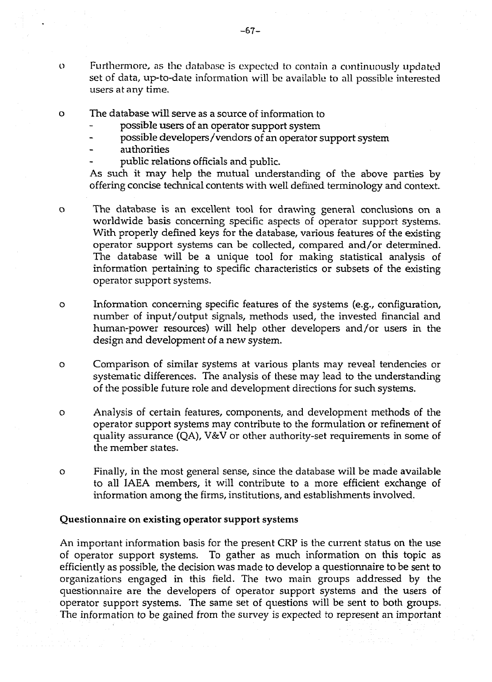**o The database will serve as a source of information to** 

- **possible users of an operator support system**
- **possible developers /vendors of an operator support system**
- **authorities**
- **public relations officials and public.**

**As such it may help the mutual understanding of the above parties by offering concise technical contents with well defined terminology and context.** 

**o The database is an excellent tool for drawing general conclusions on a worldwide basis concerning specific aspects of operator support systems. With properly defined keys for the database, various features of the existing operator support systems can be collected, compared and/or determined. The database will be a unique tool for making statistical analysis of information pertaining to specific characteristics or subsets of the existing operator support systems.** 

**o Information concerning specific features of the systems (e.g., configuration, number of input/output signals, methods used, the invested financial and human-power resources) will help other developers and/or users in the design and development of a new system.** 

**o Comparison of similar systems at various plants may reveal tendencies or systematic differences. The analysis of these may lead to the understanding of the possible future role and development directions for such systems.** 

**o Analysis of certain features, components, and development methods of the operator support systems may contribute to the formulation or refinement of quality assurance (QA), V&V or other authority-set requirements in some of the member states.** 

**o Finally, in the most general sense, since the database will be made available to all IAEA members, it will contribute to a more efficient exchange of information among the firms, institutions, and establishments involved.** 

#### **Questionnaire on existing operator support systems**

**An important information basis for the present CRP is the current status on the use of operator support systems. To gather as much information on this topic as efficiently as possible, the decision was made to develop a questionnaire to be sent to organizations engaged in this field. The two main groups addressed by the questionnaire are the developers of operator support systems and the users of operator support systems. The same set of questions will be sent to both groups. The information to be gained from the survey is expected to represent an important**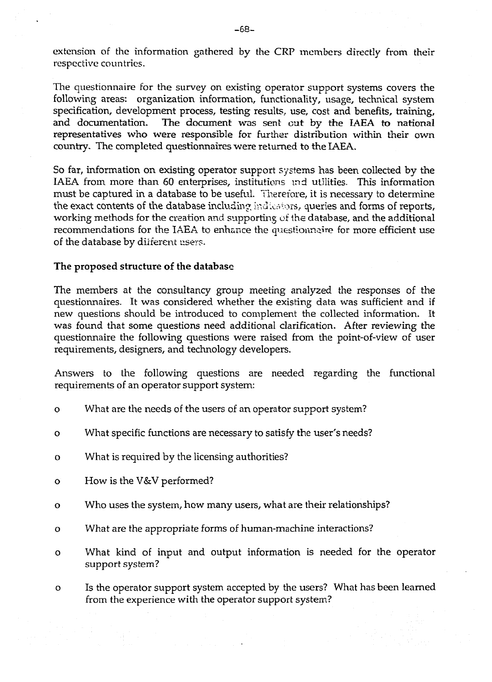**extension of the information gathered by the CRP members directly from their respective countries.** 

**The questionnaire for the survey on existing operator support systems covers the following areas: organization information, functionality, usage, technical system specification, development process, testing results, use, cost and benefits, training, and documentation. The document was sent cut by the IAEA to national representatives who were responsible for further distribution within their own country. The completed questionnaires were returned to the IAEA.** 

**So far, information on existing operator support systems has been collected by the IAEA from more than 60 enterprises, institutions ind utilities. This information must be captured in a database to be useful. Therefore, it is necessary to determine the exact contents of the database including** indicators, **queries and forms of reports, working methods for the creation and supporting** of **ihe database, and the additional recommendations for the IAEA to enhance the questionnaire for more efficient use of the database by diiferent** user?.

#### **The proposed structure of the database**

**The members at the consultancy group meeting analyzed the responses of the questionnaires. It was considered whether the existing data was sufficient and if new questions should be introduced to complement the collected information. It was found that some questions need additional clarification. After reviewing the questionnaire the following questions were raised from the point-of-view of user requirements, designers, and technology developers.** 

**Answers to the following questions are needed regarding the functional requirements of an operator support system:** 

- **o What are the needs of the users of an operator support system?**
- **o What specific functions are necessary to satisfy the user's needs?**
- **o What is required by the licensing authorities?**
- **o How is the V&V performed?**
- **o Who uses the system, how many users, what are their relationships?**
- **o What are the appropriate forms of human-machine interactions?**
- **o What kind of input and output information is needed for the operator support system?**

**o Is the operator support system accepted by the users? What has been learned from the experience with the operator support system?**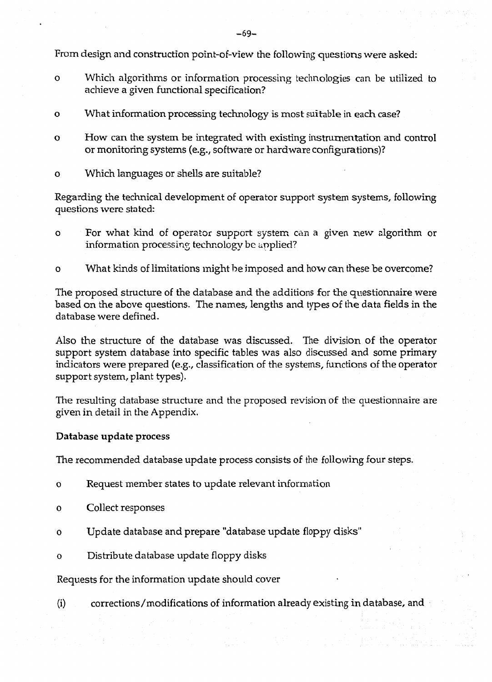**From design and construction point-of-view the following questions were asked:** 

- **o Which algorithms or information processing technologies can be utilized to achieve a given functional specification?**
- **o What information processing technology is most suitable in each case?**
- **o How can the system be integrated with existing instrumentation and control or monitoring systems (e.g., software or hardware configurations)?**
- **o Which languages or shells are suitable?**

**Regarding the technical development of operator support system systems, following questions were stated:** 

- **o For what kind of operator support system can a given new algorithm or information processing technology be applied?**
- **o What kinds of limitations might be imposed and how can these be overcome?**

**The proposed structure of the database and the additions for the questionnaire were based on the above questions. The names, lengths and types of the data fields in the database were defined.** 

**Also the structure of the database was discussed. The division of the operator support system database into specific tables was also discussed and some primary indicators were prepared (e.g., classification of the systems, functions of the operator support system, plant types).** 

**The resulting database structure and the proposed revision of the questionnaire are given in detail in the Appendix.** 

# **Database update process**

**The recommended database update process consists of the following four steps,** 

- **o Request member states to update relevant information**
- **o Collect responses**
- **o Update database and prepare "database update floppy disks"**
- **o Distribute database update floppy disks**

**Requests for the information update should cover** 

**(i) corrections/modifications of information already existing in database, and**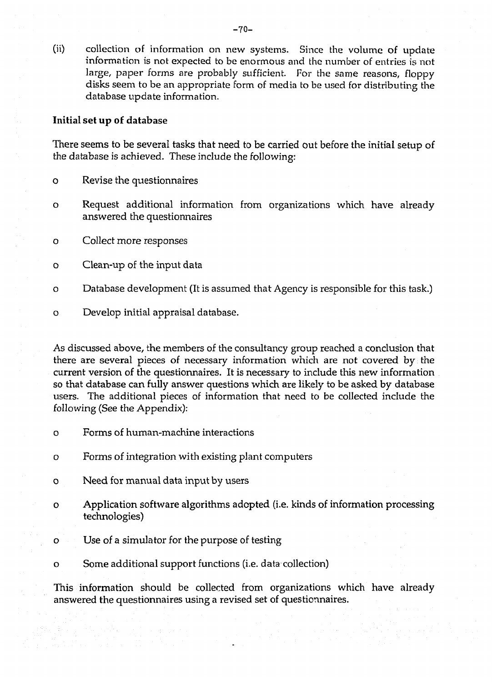**(ii) collection of information on new systems. Since the volume of update information is not expected to be enormous and the number of entries is not large, paper forms are probably sufficient. For the same reasons, floppy disks seem to be an appropriate form of media to be used for distributing the database update information.** 

## **Initial set up of database**

**There seems to be several tasks that need to be carried out before the initial setup of the database is achieved. These include the following:** 

- **o Revise the questionnaires**
- **o Request additional information from organizations which have already answered the questionnaires**
- **o Collect more responses**
- **o Clean-up of the input data**
- **o Database development (It is assumed that Agency is responsible for this task.)**
- **o Develop initial appraisal database.**

**As discussed above, the members of the consultancy group reached a conclusion that there are several pieces of necessary information which are not covered by the current version of the questionnaires. It is necessary to include this new information so that database can fully answer questions which are likely to be asked by database users. The additional pieces of information that need to be collected include the following (See the Appendix):** 

- **o Forms of human-machine interactions**
- **o Forms of integration with existing plant computers**
- **o Need for manual data input by users**
- **o Application software algorithms adopted (i.e. kinds of information processing technologies)**
- **o Use of a simulator for the purpose of testing**
- **o Some additional support functions (i.e. data collection)**

**This information should be collected from organizations which have already answered the questionnaires using a revised set of questionnaires.**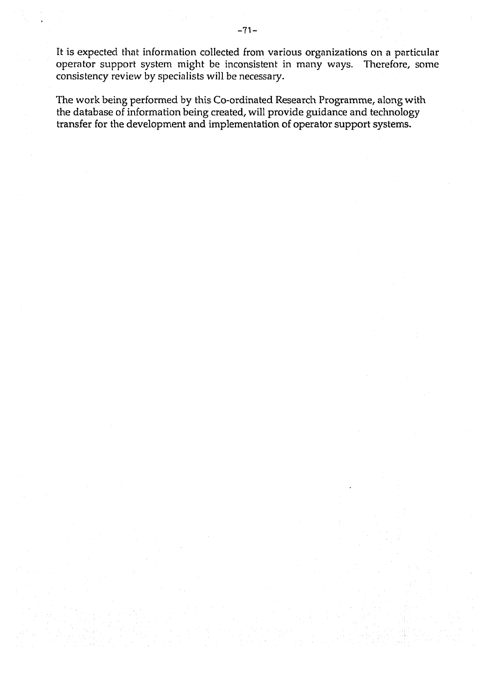**It is expected that information collected from various organizations on a particular operator support system might be inconsistent in many ways. Therefore, some consistency review by specialists will be necessary.** 

**The work being performed by this Co-ordinated Research Programme, along with the database of information being created, will provide guidance and technology transfer for the development and implementation of operator support systems.**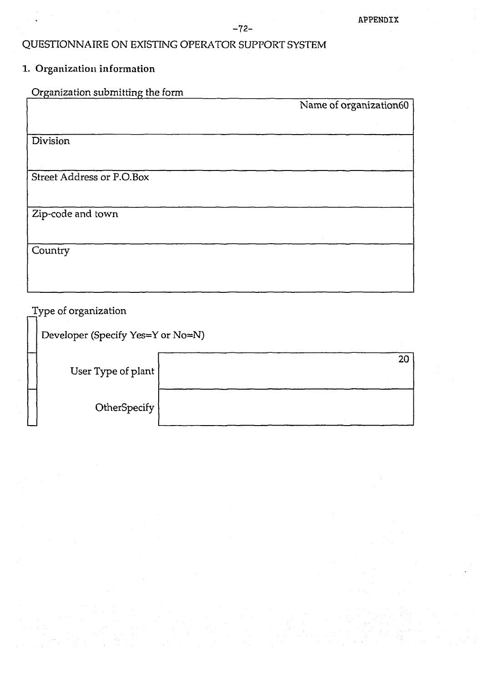# **QUESTIONNAIRE ON EXISTING OPERATOR SUPPORT SYSTEM**

# **1. Organization information**

**Organization submitting the form Name of organization60 Division Street Address or P.O.Box Zip-code and town Country** 

**Type of organization** 

**Developer (Specify Yes=Y or No=N)** 

| User Type of plant |  |
|--------------------|--|
| OtherSpecify       |  |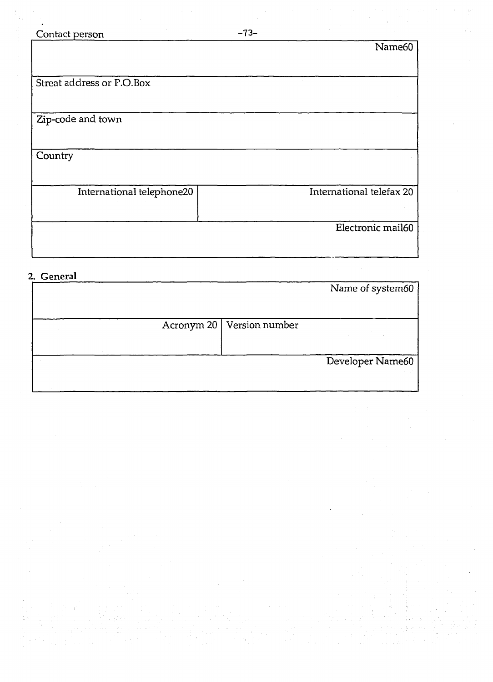| Contact person            | $-73-$                   |
|---------------------------|--------------------------|
|                           | Name60                   |
|                           |                          |
|                           |                          |
| Streat address or P.O.Box |                          |
|                           |                          |
|                           |                          |
| Zip-code and town         |                          |
|                           |                          |
| Country                   |                          |
|                           |                          |
| International telephone20 | International telefax 20 |
|                           |                          |
|                           |                          |
|                           | Electronic mail60        |
|                           |                          |

2. General

|  |                             | Name of system60 |
|--|-----------------------------|------------------|
|  |                             |                  |
|  |                             |                  |
|  | Acronym 20   Version number |                  |
|  |                             |                  |
|  |                             |                  |
|  |                             | Developer Name60 |
|  |                             |                  |
|  |                             |                  |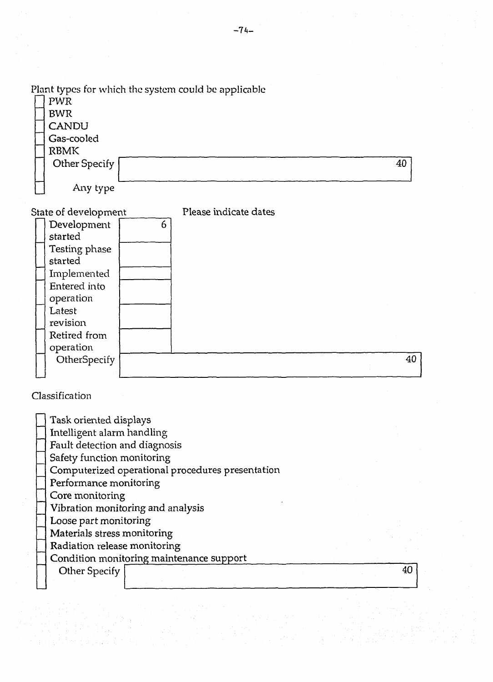*Plant* **types for which the system could be applicable** 

| PWR           | . . |
|---------------|-----|
| <b>BWR</b>    |     |
| <b>CANDU</b>  |     |
| Gas-cooled    |     |
| <b>RBMK</b>   |     |
| Other Specify | 40  |
|               |     |
| Any type      |     |

**State of development** 

**Please indicate dates** 

| Development   | 6 |    |  |
|---------------|---|----|--|
| started       |   |    |  |
| Testing phase |   |    |  |
| started       |   |    |  |
| Implemented   |   |    |  |
| Entered into  |   |    |  |
| operation     |   |    |  |
| Latest        |   |    |  |
| revision      |   |    |  |
| Retired from  |   |    |  |
| operation     |   |    |  |
| OtherSpecify  |   | 40 |  |
|               |   |    |  |

**Classification** 

| Task oriented displays                           |  |
|--------------------------------------------------|--|
| Intelligent alarm handling                       |  |
| Fault detection and diagnosis                    |  |
| Safety function monitoring                       |  |
| Computerized operational procedures presentation |  |
| Performance monitoring                           |  |
| Core monitoring                                  |  |
| Vibration monitoring and analysis                |  |
| Loose part monitoring                            |  |
| Materials stress monitoring                      |  |
| Radiation release monitoring                     |  |
| Condition monitoring maintenance support         |  |
| Other Specify                                    |  |
|                                                  |  |
|                                                  |  |
|                                                  |  |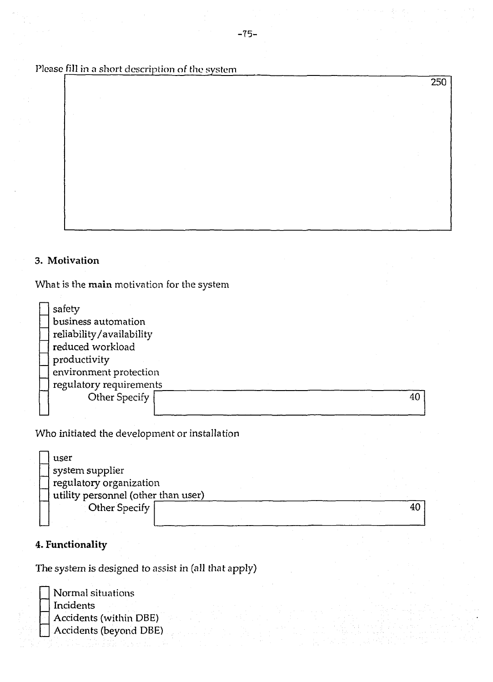Please fill in a short description *of* the system

## **3. Motivation**

**What is the main motivation for the system** 

| safety                   |  |    |
|--------------------------|--|----|
| business automation      |  |    |
| reliability/availability |  |    |
| reduced workload         |  |    |
| productivity             |  |    |
| environment protection   |  |    |
| regulatory requirements  |  |    |
| Other Specify            |  | 40 |
|                          |  |    |

**Who initiated the development or installation** 

|  | user                                |  |  |  |
|--|-------------------------------------|--|--|--|
|  | system supplier                     |  |  |  |
|  | regulatory organization             |  |  |  |
|  | utility personnel (other than user) |  |  |  |
|  | Other Specify                       |  |  |  |
|  |                                     |  |  |  |

# **4. Functionality**

**The system is designed to assist in (all that apply)** 

**Normal situations Incidents Accidents (within DBE) Accidents (beyond DBE)**  **250**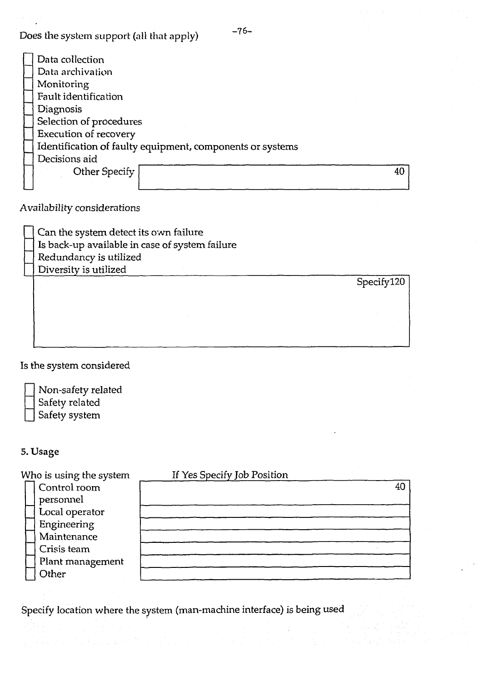**Does the system support (all that apply)** 

| Data collection                                           |    |
|-----------------------------------------------------------|----|
| Data archivation                                          |    |
| Monitoring                                                |    |
| Fault identification                                      |    |
| Diagnosis                                                 |    |
| Selection of procedures                                   |    |
| Execution of recovery                                     |    |
| Identification of faulty equipment, components or systems |    |
| Decisions aid                                             |    |
| Other Specify                                             | 40 |
|                                                           |    |

**Availability considerations** 

| Can the system detect its own failure          |
|------------------------------------------------|
| Is back-up available in case of system failure |
| Redundancy is utilized                         |
| Diversity is utilized                          |
|                                                |
|                                                |
|                                                |
|                                                |
|                                                |
|                                                |

**Is the system considered** 

| 2 |
|---|
|   |

**\_ Non-safety related \_ Safety related \_ Safety system** 

# **5. Usage**

| Who is using the system | If Yes Specify Job Position |    |
|-------------------------|-----------------------------|----|
| Control room            |                             | 40 |
| personnel               |                             |    |
| Local operator          |                             |    |
| Engineering             |                             |    |
| Maintenance             |                             |    |
| Crisis team             |                             |    |
| Plant management        |                             |    |
| Other                   |                             |    |
|                         |                             |    |

**Specify location where the system (man-machine interface) is being used** 

 $-76-$ 

**Specifyl20**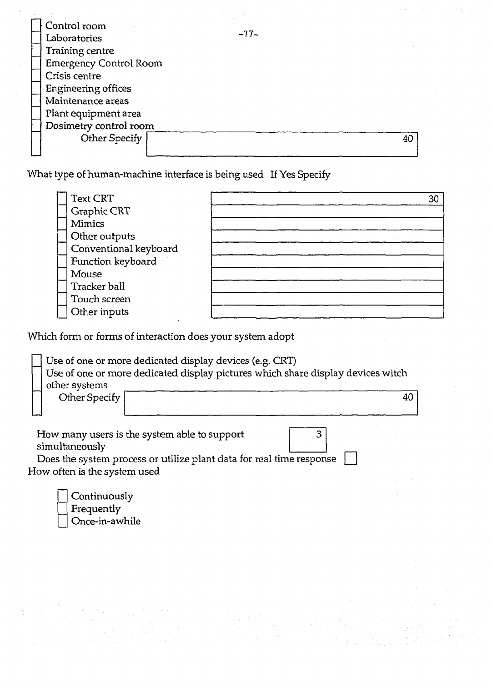| Control room<br>Laboratories  | $-77-$ |    |
|-------------------------------|--------|----|
|                               |        |    |
| Training centre               |        |    |
| <b>Emergency Control Room</b> |        |    |
| Crisis centre                 |        |    |
| Engineering offices           |        |    |
| Maintenance areas             |        |    |
| Plant equipment area          |        |    |
| Dosimetry control room        |        |    |
| Other Specify                 |        | 40 |
|                               |        |    |

**What type of human-machine interface is being used If Yes Specify** 

| <b>Text CRT</b>       | 30 |
|-----------------------|----|
| Graphic CRT           |    |
| <b>Mimics</b>         |    |
| Other outputs         |    |
| Conventional keyboard |    |
| Function keyboard     |    |
| Mouse                 |    |
| Tracker ball          |    |
| Touch screen          |    |
| Other inputs          |    |

**Which form or forms of interaction does your system adopt** 

|               | Use of one or more dedicated display devices (e.g. CRT)                         |  |
|---------------|---------------------------------------------------------------------------------|--|
|               | Use of one or more dedicated display pictures which share display devices witch |  |
| other systems |                                                                                 |  |
| Other Specify |                                                                                 |  |
|               |                                                                                 |  |

**How many users is the system able to support**   $\overline{3}$ **simultaneously** Does the system process or utilize plant data for real time response  $\Box$ 

**How often is the system used** 

| Continuously   |
|----------------|
| Frequently     |
| Once-in-awhile |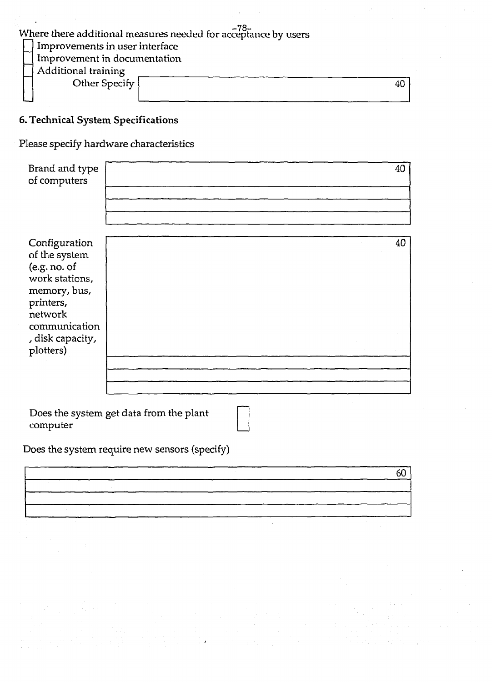| Where there additional measures needed for acceptance by users |    |  |
|----------------------------------------------------------------|----|--|
| Improvements in user interface                                 |    |  |
| Improvement in documentation                                   |    |  |
| <b>Additional training</b>                                     |    |  |
| Other Specify                                                  | 40 |  |
|                                                                |    |  |

# **6. Technical System Specifications**

**Please specify hardware characteristics** 

| Brand and type<br>of computers                                                                                                                             | 40                                      |
|------------------------------------------------------------------------------------------------------------------------------------------------------------|-----------------------------------------|
| Configuration<br>of the system<br>(e.g. no. of<br>work stations,<br>memory, bus,<br>printers,<br>network<br>communication<br>, disk capacity,<br>plotters) | 40                                      |
| computer                                                                                                                                                   | Does the system get data from the plant |

**Does the system require new sensors (specify)** 

|  | 60<br><u> 1980 - Jan Barnett, fransk politiker (d. 1980)</u> |
|--|--------------------------------------------------------------|
|  |                                                              |
|  | <b>Contract Contract</b>                                     |
|  |                                                              |
|  |                                                              |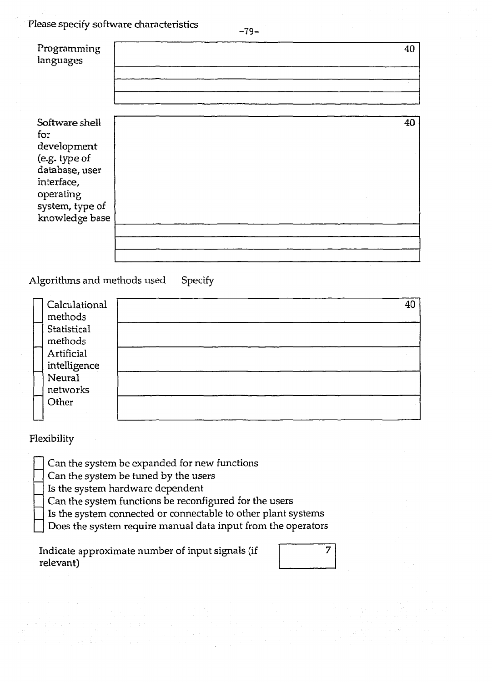**Please specify software characteristics** 

|                | 40 |
|----------------|----|
|                |    |
|                |    |
|                | 40 |
| knowledge base |    |
|                |    |
|                |    |

Algorithms and methods used Specify

| Calculational | 40 |
|---------------|----|
| methods       |    |
| Statistical   |    |
| methods       |    |
| Artificial    |    |
| intelligence  |    |
| Neural        |    |
| networks      |    |
| Other         |    |
|               |    |

# **Flexibility**

**\_ Can the system be expanded for new functions** 

**\_ Can the system be tuned by the users** 

**\_ Is the system hardware dependent** 

**\_ Can the system functions be reconfigured for the users** 

**\_ Is the system connected or connectable to other plant systems** 

**\_ Does the system require manual data input from the operators** 

**Indicate approximate number of input signals (if relevant)** 

| 7 |
|---|
|   |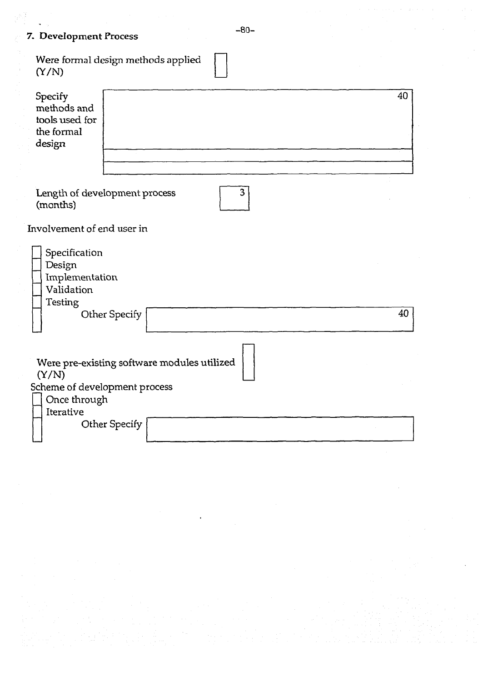# **7. Development Process**

| Were formal design methods applied<br>(Y/N)                                         |    |  |  |
|-------------------------------------------------------------------------------------|----|--|--|
| Specify<br>methods and<br>tools used for<br>the formal<br>design                    | 40 |  |  |
| 3<br>Length of development process<br>(months)                                      |    |  |  |
| Involvement of end user in                                                          |    |  |  |
| Specification<br>Design<br>Implementation<br>Validation<br>Testing<br>Other Specify | 40 |  |  |
|                                                                                     |    |  |  |
| Were pre-existing software modules utilized<br>(Y/N)                                |    |  |  |
| Scheme of development process<br>Once through<br>Iterative                          |    |  |  |
| Other Specify                                                                       |    |  |  |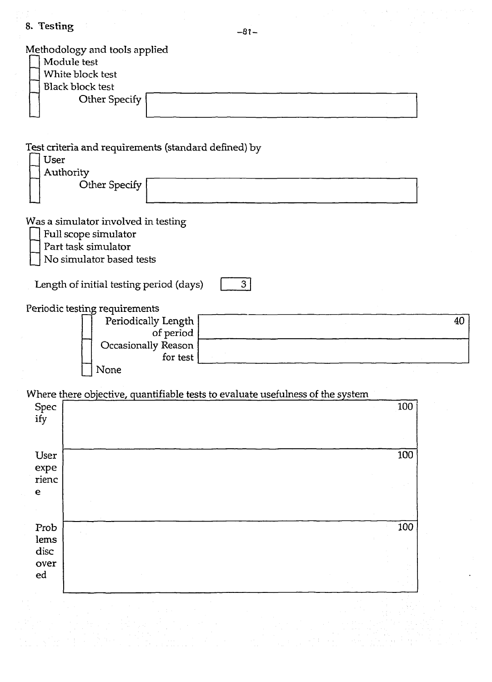| 8. Testing<br>$-81-$                                                                                           |     |
|----------------------------------------------------------------------------------------------------------------|-----|
| Methodology and tools applied<br>Module test<br>White block test<br><b>Black block test</b><br>Other Specify   |     |
| Test criteria and requirements (standard defined) by<br><b>User</b><br>Authority<br>Other Specify              |     |
| Was a simulator involved in testing<br>Full scope simulator<br>Part task simulator<br>No simulator based tests |     |
| Length of initial testing period (days)<br>3 <sup>1</sup>                                                      |     |
| Periodic testing requirements<br>Periodically Length<br>of period<br>Occasionally Reason<br>for test<br>None   | 40  |
| Where there objective, quantifiable tests to evaluate usefulness of the system                                 |     |
| Spec<br>ify                                                                                                    | 100 |
| User<br>expe<br>rienc<br>$\mathbf e$                                                                           | 100 |
|                                                                                                                |     |
| Prob<br>lems<br>disc<br>over<br>ed                                                                             | 100 |
|                                                                                                                |     |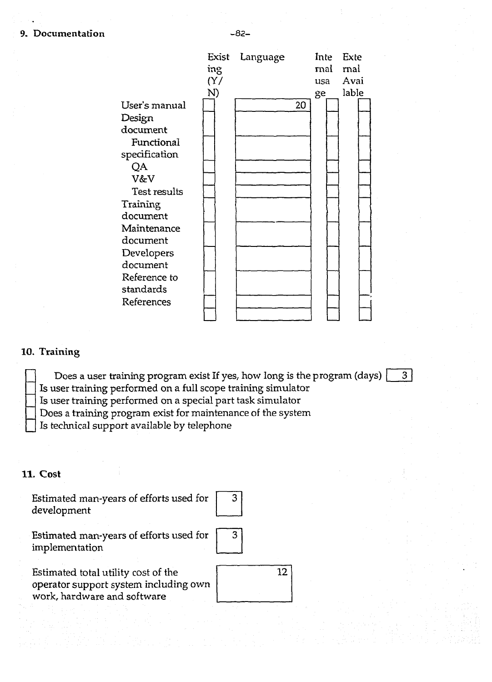#### **9. Documentation** -82 -

**Exist Language** 

**Inte Exte** 

 $3<sup>1</sup>$ 

|               | ing |    | rnal | rnal  |
|---------------|-----|----|------|-------|
|               | (Y/ |    | usa  | Avai  |
|               | N)  |    | ge   | lable |
| User's manual |     | 20 |      |       |
| Design        |     |    |      |       |
| document      |     |    |      |       |
| Functional    |     |    |      |       |
| specification |     |    |      |       |
| QA            |     |    |      |       |
| V&V           |     |    |      |       |
| Test results  |     |    |      |       |
| Training      |     |    |      |       |
| document      |     |    |      |       |
| Maintenance   |     |    |      |       |
| document      |     |    |      |       |
| Developers    |     |    |      |       |
| document      |     |    |      |       |
| Reference to  |     |    |      |       |
| standards     |     |    |      |       |
| References    |     |    |      |       |
|               |     |    |      |       |

# **10. Training**

**\_ Does a user training program exist If yes, how long is the program (days)** 

**\_ Is user training performed on a full scope training simulator** 

**\_ Is user training performed on a special part task simulator** 

**\_ Does a training program exist for maintenance of the system** 

**\_ Is technical support available by telephone** 

# **11. Cost**

**Estimated man-years of efforts used for development** 

| З |  |
|---|--|
|   |  |
|   |  |

**Estimated man-years of efforts used for implementation** 

| 14 |  |
|----|--|
|    |  |

**40** 

**Estimated total utility cost of the operator support system including own work, hardware and software**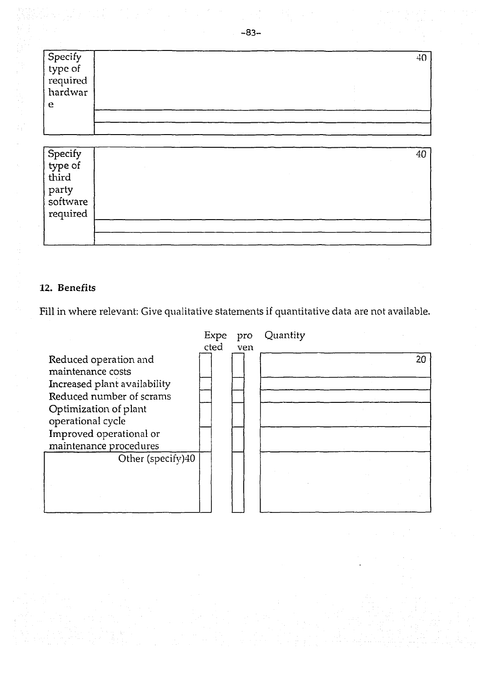| Specify<br>type of<br>required | 4( |
|--------------------------------|----|
|                                |    |
|                                |    |
| hardwar                        |    |
| e                              |    |
|                                |    |
|                                |    |

| Specify<br>type of<br>third | 40 |
|-----------------------------|----|
|                             |    |
|                             |    |
|                             |    |
| party<br>software           |    |
| required                    |    |
|                             |    |
|                             |    |

## **12. Benefits**

**Fill in where relevant: Give qualitative statements if quantitative data are not available.** 

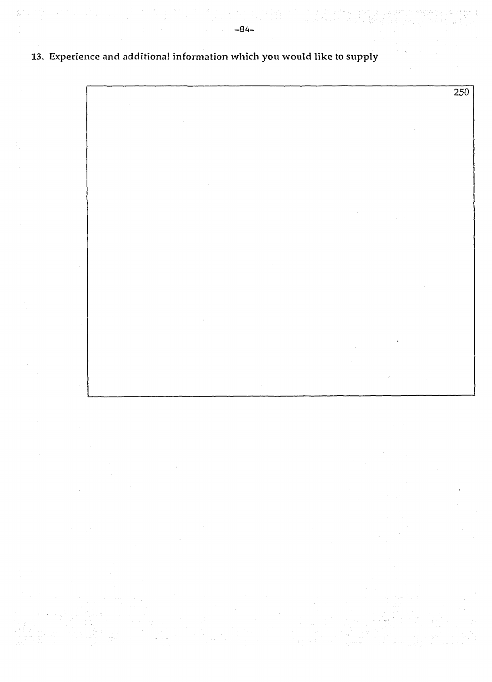$\overline{250}$